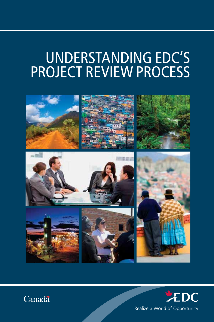# Understanding EDC's project review process





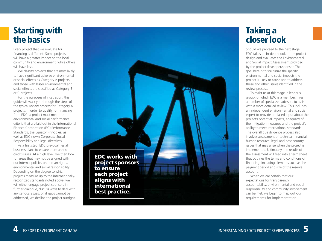## Starting with the basics

Every project that we evaluate for financing is different. Some projects will have a greater impact on the local community and environment, while others will have less.

We classify projects that are most likely to have significant adverse environmental or social effects as Category A projects; and those with lesser environmental and social effects are classified as Category B or C projects.

For the purposes of illustration, this guide will walk you through the steps of the typical review process for Category A projects. In order to qualify for financing from EDC, a project must meet the environmental and social performance criteria that are laid out in the International Finance Corporation (IFC) Performance Standards, the Equator Principles, as well as EDC's own Corporate Social Responsibility and legal directives.

As a first step, EDC pre-qualifies all business plans to ensure there are no credit issues. At a high level, we then look for areas that may not be aligned with our internal policies on human rights, environmental and social responsibility. Depending on the degree to which projects measure up to the internationallyrecognized standards noted above, we will either engage project sponsors in further dialogue, discuss ways to deal with any serious issues, or, if gaps cannot be addressed, we decline the project outright.

project sponsors to ensure each project aligns with international best practice.

EDC works with

### Taking a closer look

Should we proceed to the next stage, EDC takes an in-depth look at the project design and evaluates the Environmental and Social Impact Assessment provided by the project developer/sponsor. The goal here is to scrutinize the specific environmental and social impacts the project is likely to cause and to address these and other issues identified in the review process.

To assist us at this stage, a lender's group, of which EDC is a member, hires a number of specialized advisors to assist with a more detailed review. This includes an independent environmental and social expert to provide unbiased input about the project's potential impacts, adequacy of the mitigation measures and the project's ability to meet international standards. The overall due diligence process also involves assessment of technical, financial, human resource, legal and host country issues that may arise when the project is implemented. Ultimately, the results of the assessment will feed into a term sheet that outlines the terms and conditions of financing, including elements such as the payment period and size of the reserve account.

When we are certain that our expectations for transparency, accountability, environmental and social responsibility and community involvement can be met, we begin to map out our requirements for implementation.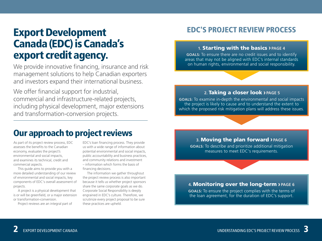## Export Development Canada (EDC) is Canada's export credit agency.

We provide innovative financing, insurance and risk management solutions to help Canadian exporters and investors expand their international business.

We offer financial support for industrial, commercial and infrastructure-related projects, including physical development, major extensions and transformation-conversion projects.

### Our approach to project reviews

As part of its project review process, EDC assesses the benefits to the Canadian economy, evaluates the project's environmental and social impacts, and examines its technical, credit and commercial aspects.

This guide aims to provide you with a more detailed understanding of our review of environmental and social impacts, key components of EDC's overall assessment of projects.

A project is a physical development that is or will be greenfield, or a major extension or transformation-conversion.

Project reviews are an integral part of

EDC's loan financing process. They provide us with a wide range of information about potential environmental and social impacts, public accountability and business practices, and community relations and investment – information which forms the basis of financing decisions.

The information we gather throughout the project review process is also important because it tells us whether project sponsors share the same corporate goals as we do. Corporate Social Responsibility is deeply engrained in EDC's culture. Therefore, we scrutinize every project proposal to be sure these practices are upheld.

### EDC's Project Review Process

#### **1.** Starting with the basics › **Page 4**

**goals:** To ensure there are no credit issues and to identify areas that may not be aligned with EDC's internal standards on human rights, environmental and social responsibility.

#### **2.** Taking a closer look › **Page 5**

**goals:** To examine in-depth the environmental and social impacts the project is likely to cause and to understand the extent to which the proposed risk mitigation plans will address these issues.

#### **3.** Moving the plan forward › **Page 6**

**goals:** To describe and prioritize additional mitigation measures to meet EDC's requirements.

#### **4.** Monitoring over the long-term › **Page 6**

**goals:** To ensure the project complies with the terms of the loan agreement, for the duration of EDC's support.